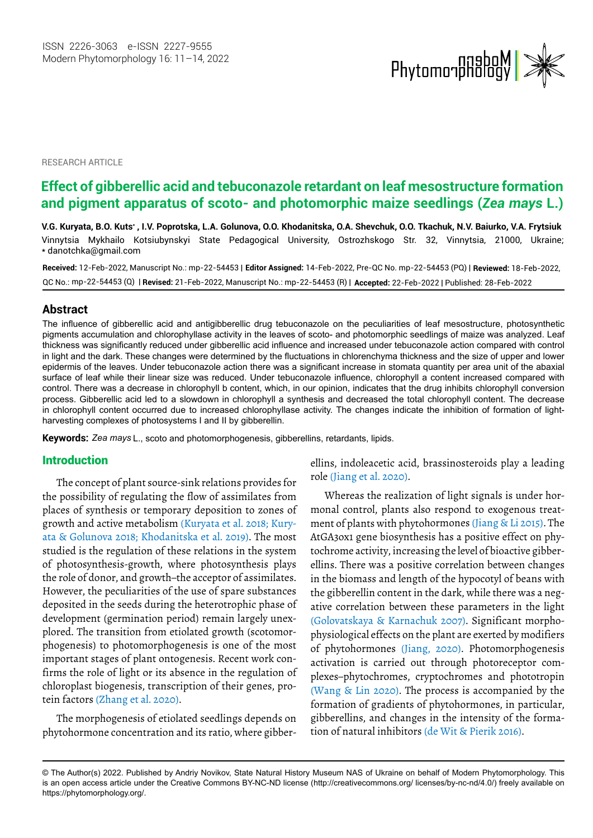

RESEARCH ARTICLE

# **Effect of gibberellic acid and tebuconazole retardant on leaf mesostructure formation and pigment apparatus of scoto- and photomorphic maize seedlings (***Zea mays* **L.)**

V.G. Kuryata, B.O. Kuts\* , I.V. Poprotska, L.A. Golunova, O.O. Khodanitska, O.A. Shevchuk, O.O. Tkachuk, N.V. Baiurko, V.A. Frytsiuk Vinnytsia Mykhailo Kotsiubynskyi State Pedagogical University, Ostrozhskogo Str. 32, Vinnytsia, 21000, Ukraine; \* [danotchka@gmail.com](mailto:danotchka@gmail.com)

**Received:** 12-Feb-2022, Manuscript No.: mp-22-54453 | **Editor Assigned:** 14-Feb-2022, Pre-QC No. mp-22-54453 (PQ) | **Reviewed:** 18-Feb-2022, QC No.: mp-22-54453 (Q) | **Revised:** 21-Feb-2022, Manuscript No.: mp-22-54453 (R) | **Accepted:** 22-Feb-2022 | Published: 28-Feb-2022

# **Abstract**

The influence of gibberellic acid and antigibberellic drug tebuconazole on the peculiarities of leaf mesostructure, photosynthetic pigments accumulation and chlorophyllase activity in the leaves of scoto- and photomorphic seedlings of maize was analyzed. Leaf thickness was significantly reduced under gibberellic acid influence and increased under tebuconazole action compared with control in light and the dark. These changes were determined by the fluctuations in chlorenchyma thickness and the size of upper and lower epidermis of the leaves. Under tebuconazole action there was a significant increase in stomata quantity per area unit of the abaxial surface of leaf while their linear size was reduced. Under tebuconazole influence, chlorophyll a content increased compared with control. There was a decrease in chlorophyll b content, which, in our opinion, indicates that the drug inhibits chlorophyll conversion process. Gibberellic acid led to a slowdown in chlorophyll a synthesis and decreased the total chlorophyll content. The decrease in chlorophyll content occurred due to increased chlorophyllase activity. The changes indicate the inhibition of formation of lightharvesting complexes of photosystems I and II by gibberellin.

**Keywords:** *Zea mays* L., scoto and photomorphogenesis, gibberellins, retardants, lipids.

#### Introduction

The concept of plant source-sink relations provides for the possibility of regulating the flow of assimilates from places of synthesis or temporary deposition to zones of - growth and active metabolism (Kuryata et al. 2018; Kury studied is the regulation of these relations in the system of photosynthesis-growth, where photosynthesis plays the role of donor, and growth–the acceptor of assimilates. However, the peculiarities of the use of spare substances deposited in the seeds during the heterotrophic phase of development (germination period) remain largely unexplored. The transition from etiolated growth (scotomorphogenesis) to photomorphogenesis is one of the most important stages of plant ontogenesis. Recent work confirms the role of light or its absence in the regulation of chloroplast biogenesis, transcription of their genes, proata & Golunova 2018; Khodanitska et al. 2019). The most tein factors (Zhang et al. 2020).

The morphogenesis of etiolated seedlings depends on phytohormone concentration and its ratio, where gibberellins, indoleacetic acid, brassinosteroids play a leading role (Jiang et al. 2020).

Whereas the realization of light signals is under hormonal control, plants also respond to exogenous treatment of plants with phyto hormones (Jiang & Li 2015). The AtGA3ox1 gene biosynthesis has a positive effect on phytochrome activity, increasing the level of bioactive gibberellins. There was a positive correlation between changes in the biomass and length of the hypocotyl of beans with the gibberellin content in the dark, while there was a negative correlation between these parameters in the light - (Golovatskaya & Karnachuk 2007). Significant morpho physiological effects on the plant are exerted by modifiers activation is carried out through photoreceptor complexes–phytochromes, cryptochromes and phototropin formation of gradients of phytohormones, in particular, gibberellins, and changes in the intensity of the formaof phytohormones (Jiang, 2020). Photomorphogenesis (Wang & Lin 2020). The process is accompanied by the tion of natural inhibitors (de Wit & Pierik 2016).

<sup>©</sup> The Author(s) 2022. Published by Andriy Novikov, State Natural History Museum NAS of Ukraine on behalf of Modern Phytomorphology. This is an open access article under the Creative Commons BY-NC-ND license (http://creativecommons.org/ licenses/by-nc-nd/4.0/) freely available on https://phytomorphology.org/.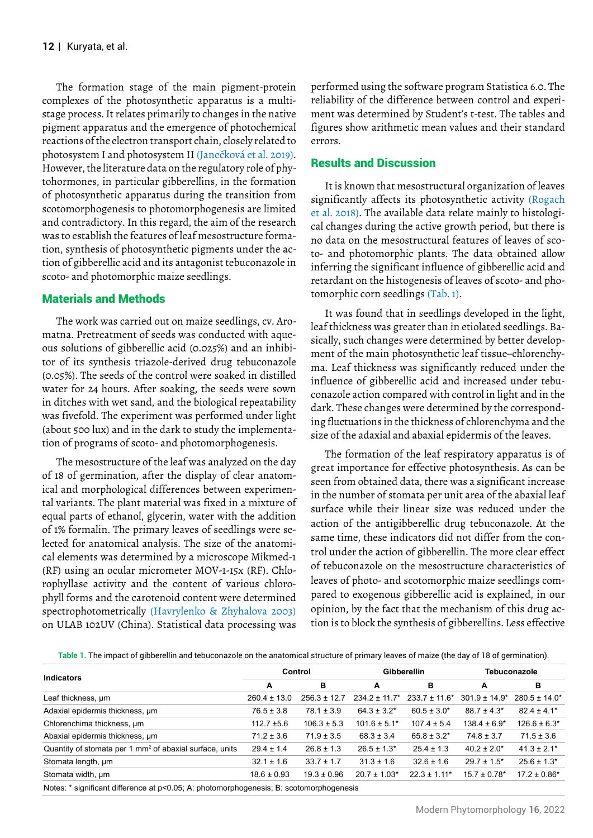The formation stage of the main pigment-protein complexes of the photosynthetic apparatus is a multistage process. It relates primarily to changes in the native pigment apparatus and the emergence of photochemical reactions of the electron transport chain, closely related to However, the literature data on the regulatory role of phytohormones, in particular gibberellins, in the formation of photosynthetic apparatus during the transition from scotomorphogenesis to photomorphogenesis are limited and contradictory. In this regard, the aim of the research was to establish the features of leaf mesostructure formation, synthesis of photosynthetic pigments under the action of gibberellic acid and its antagonist tebuconazole in scoto- and photomorphic maize seedlings. photosystem I and photosystem II (Janečková et al. 2019).

# Materials and Methods

The work was carried out on maize seedlings, cv. Aromatna. Pretreatment of seeds was conducted with aqueous solutions of gibberellic acid (0.025%) and an inhibitor of its synthesis triazole-derived drug tebuconazole (0.05%). The seeds of the control were soaked in distilled water for 24 hours. After soaking, the seeds were sown in ditches with wet sand, and the biological repeatability was fivefold. The experiment was performed under light (about 500 lux) and in the dark to study the implementation of programs of scoto- and photomorphogenesis.

The mesostructure of the leaf was analyzed on the day of 18 of germination, after the display of clear anatomical and morphological differences between experimental variants. The plant material was fixed in a mixture of equal parts of ethanol, glycerin, water with the addition of 1% formalin. The primary leaves of seedlings were selected for anatomical analysis. The size of the anatomical elements was determined by a microscope Mikmed-1 (RF) using an ocular micrometer MOV-1-15x (RF). Chlorophyllase activity and the content of various chlorophyll forms and the carotenoid content were determined on ULAB 102UV (China). Statistical data processing was spectrophotometrically (Havrylenko & Zhyhalova 2003)

performed using the software program Statistica 6.0. The reliability of the difference between control and experiment was determined by Student's t-test. The tables and figures show arithmetic mean values and their standard errors.

## Results and Discussion

It is known that mesostructural organization of leaves - et al. 2018). The available data relate mainly to histologi cal changes during the active growth period, but there is no data on the mesostructural features of leaves of scoto- and photomorphic plants. The data obtained allow inferring the significant influence of gibberellic acid and retardant on the histogenesis of leaves of scoto- and phosignificantly affects its photosynthetic activity (Rogach tomorphic corn seedlings (Tab. 1).

It was found that in seedlings developed in the light, leaf thickness was greater than in etiolated seedlings. Basically, such changes were determined by better development of the main photosynthetic leaf tissue–chlorenchyma. Leaf thickness was significantly reduced under the influence of gibberellic acid and increased under tebuconazole action compared with control in light and in the dark. These changes were determined by the corresponding fluctuations in the thickness of chlorenchyma and the size of the adaxial and abaxial epidermis of the leaves.

The formation of the leaf respiratory apparatus is of great importance for effective photosynthesis. As can be seen from obtained data, there was a significant increase in the number of stomata per unit area of the abaxial leaf surface while their linear size was reduced under the action of the antigibberellic drug tebuconazole. At the same time, these indicators did not differ from the control under the action of gibberellin. The more clear effect of tebuconazole on the mesostructure characteristics of leaves of photo- and scotomorphic maize seedlings compared to exogenous gibberellic acid is explained, in our opinion, by the fact that the mechanism of this drug action is to block the synthesis of gibberellins. Less effective

**Table 1.** The impact of gibberellin and tebuconazole on the anatomical structure of primary leaves of maize (the day of 18 of germination).

| <b>Indicators</b>                                                                               | Control          |                  | <b>Gibberellin</b> |                              | <b>Tebuconazole</b> |                   |  |
|-------------------------------------------------------------------------------------------------|------------------|------------------|--------------------|------------------------------|---------------------|-------------------|--|
|                                                                                                 | A                | в                | A                  | в                            | A                   | в                 |  |
| Leaf thickness, um                                                                              | $260.4 \pm 13.0$ | $256.3 \pm 12.7$ | $234.2 \pm 11.7^*$ | $233.7 \pm 11.6^*$           | $301.9 + 14.9*$     | $280.5 + 14.0*$   |  |
| Adaxial epidermis thickness, um                                                                 | $76.5 \pm 3.8$   | $78.1 \pm 3.9$   | $64.3 \pm 3.2^*$   | $60.5 \pm 3.0*$              | $88.7 \pm 4.3^*$    | $82.4 \pm 4.1*$   |  |
| Chlorenchima thickness, um                                                                      | $112.7 \pm 5.6$  | $106.3 \pm 5.3$  | $101.6 \pm 5.1^*$  | $107.4 \pm 5.4$              | $138.4 \pm 6.9^*$   | $126.6 \pm 6.3^*$ |  |
| Abaxial epidermis thickness, um                                                                 | $71.2 \pm 3.6$   | $71.9 \pm 3.5$   | $68.3 \pm 3.4$     | $65.8 \pm 3.2^*$             | $74.8 \pm 3.7$      | $71.5 \pm 3.6$    |  |
| Quantity of stomata per 1 mm <sup>2</sup> of abaxial surface, units                             | $29.4 \pm 1.4$   | $26.8 \pm 1.3$   | $26.5 \pm 1.3^*$   | $25.4 \pm 1.3$               | $40.2 \pm 2.0^*$    | $41.3 \pm 2.1^*$  |  |
| Stomata length, um                                                                              | $32.1 \pm 1.6$   | $33.7 \pm 1.7$   | $31.3 \pm 1.6$     | $32.6 \pm 1.6$               | $29.7 \pm 1.5^*$    | $25.6 \pm 1.3^*$  |  |
| Stomata width, um                                                                               | $18.6 \pm 0.93$  | $19.3 \pm 0.96$  | $20.7 \pm 1.03*$   | $22.3 \pm 1.11$ <sup>*</sup> | $15.7 \pm 0.78$ *   | $17.2 \pm 0.86*$  |  |
| Alexander Could and altressed and an annual activities and concerted December 2016 and concerte |                  |                  |                    |                              |                     |                   |  |

Notes: \* significant difference at p<0.05; А: photomorphogenesis; B: scotomorphogenesis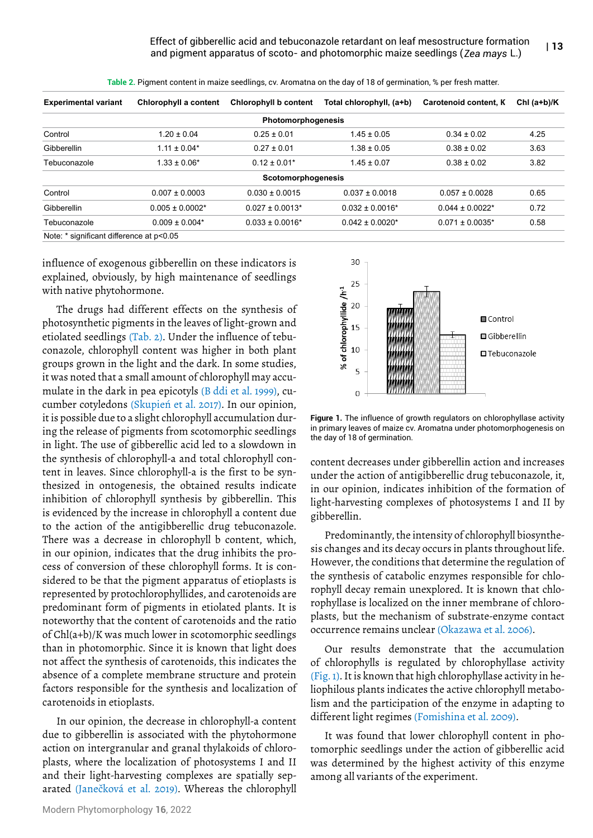| <b>Experimental variant</b>              | Chlorophyll a content | Chlorophyll b content | Total chlorophyll, (a+b) | Carotenoid content, K | Chl $(a+b)/K$ |
|------------------------------------------|-----------------------|-----------------------|--------------------------|-----------------------|---------------|
|                                          |                       | Photomorphogenesis    |                          |                       |               |
| Control                                  | $1.20 \pm 0.04$       | $0.25 \pm 0.01$       | $1.45 \pm 0.05$          | $0.34 \pm 0.02$       | 4.25          |
| Gibberellin                              | $1.11 \pm 0.04*$      | $0.27 \pm 0.01$       | $1.38 \pm 0.05$          | $0.38 \pm 0.02$       | 3.63          |
| Tebuconazole                             | $1.33 \pm 0.06*$      | $0.12 \pm 0.01*$      | $1.45 \pm 0.07$          | $0.38 \pm 0.02$       | 3.82          |
|                                          |                       | Scotomorphogenesis    |                          |                       |               |
| Control                                  | $0.007 \pm 0.0003$    | $0.030 \pm 0.0015$    | $0.037 \pm 0.0018$       | $0.057 \pm 0.0028$    | 0.65          |
| Gibberellin                              | $0.005 \pm 0.0002$ *  | $0.027 \pm 0.0013$ *  | $0.032 \pm 0.0016^*$     | $0.044 \pm 0.0022$ *  | 0.72          |
| Tebuconazole                             | $0.009 \pm 0.004*$    | $0.033 \pm 0.0016^*$  | $0.042 \pm 0.0020*$      | $0.071 \pm 0.0035$ *  | 0.58          |
| Note: * significant difference at p<0.05 |                       |                       |                          |                       |               |

**Table 2.** Pigment content in maize seedlings, cv. Aromatna on the day of 18 of germination, % per fresh matter.

influence of exogenous gibberellin on these indicators is explained, obviously, by high maintenance of seedlings with native phytohormone.

The drugs had different effects on the synthesis of photosynthetic pigments in the leaves of light-grown and etiolated seedlings (Tab. 2). Under the influence of tebuconazole, chlorophyll content was higher in both plant groups grown in the light and the dark. In some studies, it was noted that a small amount of chlorophyll may accu mulate in the dark in pea epicotyls (B ddi et al. 1999), cuit is possible due to a slight chlorophyll accumulation during the release of pigments from scotomorphic seedlings in light. The use of gibberellic acid led to a slowdown in the synthesis of chlorophyll-a and total chlorophyll content in leaves. Since chlorophyll-a is the first to be synthesized in ontogenesis, the obtained results indicate inhibition of chlorophyll synthesis by gibberellin. This is evidenced by the increase in chlorophyll a content due to the action of the antigibberellic drug tebuconazole. There was a decrease in chlorophyll b content, which, in our opinion, indicates that the drug inhibits the process of conversion of these chlorophyll forms. It is considered to be that the pigment apparatus of etioplasts is represented by protochlorophyllides, and carotenoids are predominant form of pigments in etiolated plants. It is noteworthy that the content of carotenoids and the ratio of Chl(a+b)/K was much lower in scotomorphic seedlings than in photomorphic. Since it is known that light does not affect the synthesis of carotenoids, this indicates the absence of a complete membrane structure and protein factors responsible for the synthesis and localization of carotenoids in etioplasts. cumber cotyledons (Skupień et al. 2017). In our opinion,

In our opinion, the decrease in chlorophyll-a content due to gibberellin is associated with the phytohormone action on intergranular and granal thylakoids of chloroplasts, where the localization of photosystems I and II and their light-harvesting complexes are spatially separated (Janečková et al. 2019). Whereas the chlorophyll



**Figure 1.** The influence of growth regulators on chlorophyllase activity in primary leaves of maize cv. Aromatna under photomorphogenesis on the day of 18 of germination.

content decreases under gibberellin action and increases under the action of antigibberellic drug tebuconazole, it, in our opinion, indicates inhibition of the formation of light-harvesting complexes of photosystems I and II by gibberellin.

Predominantly, the intensity of chlorophyll biosynthesis changes and its decay occurs in plants throughout life. However, the conditions that determine the regulation of the synthesis of catabolic enzymes responsible for chlorophyll decay remain unexplored. It is known that chlorophyllase is localized on the inner membrane of chloroplasts, but the mechanism of substrate-enzyme contact occurrence remains unclear (Okazawa et al. 2006).

Our results demonstrate that the accumulation of chlorophylls is regulated by chlorophyllase activity - (Fig. 1). It is known that high chlorophyllase activity in he liophilous plants indicates the active chlorophyll metabolism and the participation of the enzyme in adapting to different light regimes (Fomishina et al. 2009).

It was found that lower chlorophyll content in photomorphic seedlings under the action of gibberellic acid was determined by the highest activity of this enzyme among all variants of the experiment.